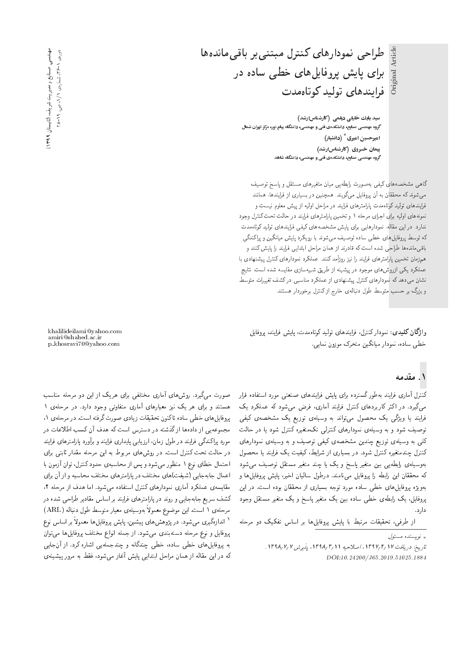طراحی نمودارهای کنترل مبتنی بر باقی مانده ها برای پایش پروفایلهای خطی ساده در فرايندهاى توليد كوتاهمدت

> سید بابك خلیلی دیلمی (كارشناسارشد) گروه مهندسی صنایع، دانشکدهی فنی و مهندسی، دانشگاه پیام نور، مرکز تهران شمال امیرحسین امیری<sup>\*</sup> (دانشیار) پیمان خسروی (کارشناس|رشد) گروه مهندسی صنایع، دانشکدهی فنی و مهندسی، دانشگاه شاهد

گا هی مشخصه های کیفی به صورت رابطه یی میان متغیرهای مستقل و پاسخ توصیف میشوند که محققان به آن پروفایل میگویند. همچنین در بسیاری از فرایندها، همانند فرایندهای تولید کوتاهمدت پارامترهای فرایند در مراحل اولیه از پیش معلوم نیست و نمونههای اولیه برای اجرای مرحله ۱ و تخمین پارامترهای فرایند در حالت تحت کنترل وجود ندارد. در این مقاله، نمودارهایی باری پایش مشخصههای کیفی فرایندهای تولید کوتاهمدت كه توسط پروفايل هاى خطى ساده توصيف مى شوند با رويكرد پايش ميانگين و پراكندگى باقىمانده ها طراحى شده است كه قادرند از همان مراحل ابتدايى فرايند را پايش كنند و همزمان تخمین پارامترهای فرایند را نیز روزآمد کنند. عملکرد نمودارهای کنترل پیشنهادی با عملکرد یکی ازروش های موجود در پیشینه از طریق شبیهسازی مقایسه شده است. نتایج نشان می۵دد که نمودارهای کنترل پیشنهادی از عملکرد مناسبی درکشف تغییرات متوسط و بزرگ بر حسب متوسط طول دنبالهی خارج از کنترل برخوردار هستند.

واژگان كليدى: نمودار كنترل، فرايندهاى توليد كوتاهمدت، يايش فرايند، يروفايل خطى ساده، نمودار ميانگين متحرک موزون نمايى.

### ۱. مقدمه

Original Article

Original

کنترل آماری فرایند بهطورگسترده برای پایش فرایندهای صنعتی مورد استفاده قرار میگیرد. در اکثر کاربردهای کنترل فرایند آماری، فرض می شود که عملکرد یک فرایند یا ویژگی یک محصول می;تواند به وسیلهی توزیع یک مشخصهی کیفی توصیف شود و به وسیلهی نمودارهای کنترلی تکمتغیره کنترل شود یا در حالت کلی به وسیلهی توزیع چندین مشخصهی کیفی توصیف و به وسیلهی نمودارهای کنترل چندمتغیره کنترل شود. در بسیاری از شرایط، کیفیت یک فرایند یا محصول بهوسیلهی رابطهیی بین متغیر پاسخ و یک یا چند متغیر مستقل توصیف می شود كه محققان اين رابطه را پروفايل مى نامند. درطول ساليان اخير، پايش پروفايل ها و بهويژه يروفايل هاى خطى ساده مورد توجه بسيارى از محققان بوده است. در اين پروفایل، یک رابطهی خطی ساده بین یک متغیر پاسخ و یک متغیر مستقل وجود دار د.

از طرفی، تحقیقات مرتبط با پایش پروفایلها بر اساس تفکیک دو مرحله

صورت میگیرد. روش های آماری مختلفی برای هریک از این دو مرحله مناسب هستند و برای هر یک نیز معیارهای آماری متفاوتی وجود دارد. در مرحلهی ۱ يروفايل هاي خطى ساده تاكنون تحقيقات زيادي صورت گرفته است. در مرحلهي ١، مجموعهیی از دادهها از گذشته در دسترس است که هدف آن کسب اطلاعات در مورد پراکندگی فرایند در طول زمان، ارزیابی پایداری فرایند و برآورد پارامترهای فرایند در حالت تحت كنترل است. در روش هاى مربوط به اين مرحله مقدار ثابتى براى احتمال خطاى نوع ١ منظور مى شود و پس از محاسبهى حدود كنترل، توان آزمون با |عمال جابهجایی (شیفت)های مختلف در پارلمترهای مختلف محاسبه و از آن برای

مقايسه ي عملكرد آماري نمودارهاي كنترل استفاده مى شود. اما هدف از مرحله ٢، کشف سریع جابهجایی و روند در پارامترهای فرایند بر اساس مقادیر طراحی شده در مرحلهى ١ است. اين موضوع معمولاً بهوسيلهى معيار متوسط طول دنباله (ARL)<br>لسلمة ` اندازهگیری می شود. در پژوهش های پیشین، پایش پروفایل ها معمولاً بر اساس نوع<br>مقابل میدان پروفایل و نوع مرحله دستهبندی میشود. از جمله انواع مختلف پروفایل ها می توان به پروفایلهای خطی ساده، خطی چندگانه و چندجملهیی اشاره کرد. از آنجایی كه در اين مقاله از همان مراحل ابتدايى پايش آغاز مىشود، فقط به مرور پيشينهى

khalilideilami@yahoo.com amiri@shahed.ac.ir p khosravi70@yahoo.com

— (كايستان 199۹) ، صنایع و مدیریت شریف عهدندسی<br>و 28روی ۱ -۴۶۶ "مساروی ۱ / ۱، ص. ۲۹

 $\int_{\mathbb{R}}$ نو بسنده مسئول

تاريخ: دريافت ١٣٩٧/٢/١٣٩٧، اصلاحيه ١٣٩٨/٣/١ بذيرش ١٣٩٨/٧/١ DOI:10.24200/J65.2019.51025.1884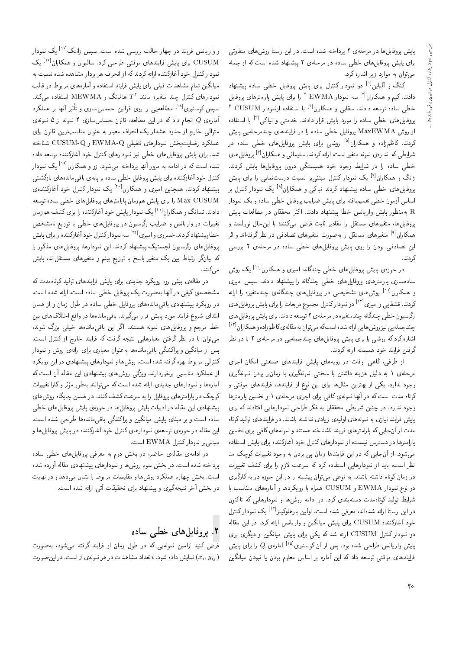يايش يروفايل ها در مرحلهى ٢ پرداخته شده است. در اين راستا روش هاى متفاوتى برای پایش بروفایل های خطی ساده در مرحلهی ۲ پیشنهاد شده است که از جمله می توان به موارد زیر اشاره کرد.

کنگ و آلباین<sup>[۱]</sup> دو نمودار کنترل برای پایش پروفایل خطی ساده پیشنهاد دادند. کیم و همکاران<sup>۲۱</sup> سه نمودار EWMA <sup>۲</sup> را برای پایش پارامترهای پروفایل<br>مقامت خطی ساده توسعه دادند. سقایی و همکاران<sup>[۲]</sup> با استفاده ازنمودار CUSUM <sup>۲</sup><br>مقابل استفاده استفاده استفاده استفاده استفاده از استفاده از استفاده پروفایلهای خطی ساده را مورد پایش قرار دادند. خدمتی و نیاکی<sup>[۶]</sup> با استفاده<br>است و TIVAA همرچون استفاده از روش MaxEWMA يروفايل خطى ساده را در فرايندهاى چندمرحلهيى پايش کردند. کاظمزاده و همکاران<sup>[۵]</sup> روشی برای پایش پروفایلهای خطی ساده در<br>در اما کرایسل میدند و اما کردن را اسک شرایطی که اندازهی نمونه متغیر است، ارائه کردند. سلیمانی و همکاران<sup>91</sup> پروفایل های<br>مطلبه خطی ساده را در شرایط وجود خود همیستگی درون بروفایلها بایش کردند. ژانگ و همکاران<sup>[۷]</sup> یک نمودار کنترل مبتنی بر نسبت درستنمایی را برای پایش<br>مقابله استفاده ایران ایران کودن باکر به باکستان ا<sup>لفا</sup> کودن با ایران پروفایلهای خطی ساده پیشنهاد کردند نیاکی و همکاران<sup>[۸]</sup> یک نمودارکنترل بر<br>امام آ اساس آزمون خطی تعمیم یافته برای پایش ضرایب بروفایل خطی ساده و یک نمودار بهمنظور پایش واریانس خطا پیشنهاد دادند. اکثر محققان در مطالعات پایش یروفایل ها، متغیرهای مستقل را مقادیر ثابت فرض می کنند؛ با این حال نورالسنا و همکاران<sup>[۹]</sup> متغیرهای مستقل را به صورت متغیرهای تصادفی در نظرگرفتهاند و اثر<br>است با این مورد این تصادفی بودن را روی پایش پروفایلهای خطی ساده در مرحلهی ۲ بررسی<sub>،</sub> ک دند.

در حوزهى پايش پروفايل هاى خطى چندگانه، اميرى و هىكاران<sup>[۱۰]</sup> يک روش<br>ا سادهسازی پارامترهای پروفایلهای خطی چندگانه را پیشنهاد دادند. سپس امیری و همکاران<sup>[۱۱]</sup> روشهای تشخیصی در پروفایلهای چندگانهی چندمتغیره را ارائه<br>کردن توپوالسول الال كردند. قشقايي و اميري<sup>[۱۲]</sup> دو نموداركنترل مجموع مربعات را براي پايش بروفايل هاي رگرسیون خطی چندگانه چندمتغیره در مرحلهی ۲ توسعه دادند. برای پایش پروفایل های چند جمله یی نیز روش هایی ارائه شده است که می توان به مقاله ی کاظم زاده و همکاران <sup>[۱۲]</sup><br>اما یک کریم اشاره کرد که روشی را برای پایش پروفایل های چندجمله یی در مرحلهی ۲ با در نظر گرفتن فرایند خود همیسته ارائه کردند.

از طرفی، گاهی اوقات در رویههای پایش فرایندهای صنعتی امکان اجرای مرحلهى ١ به دليل هزينه داشتن يا سختى نمونهگيرى يا زمان,ر بودن نمونهگيرى وجود ندارد. یکی از بهترین مثالها برای این نوع از فرایندها، فرایندهای موقتی و کوتاه مدت است که در آنها نمونهی کافی برای اجرای مرحلهی ۱ و تخمین پارامترها وجود ندارد. در چنین شرایطی محققان به فکر طراحی نمودارهایی افتادند که برای یایش فرایند نیازی به نمونههای اولیهی زیادی نداشته باشند. در فرایندهای تولید کوتاه مدت از آن جایی که پارلمترهای فرایند ناشناخته هستند و نمونههای کافی برای تخمین پارامترها در دسترس نیست، از نمودارهای کنترل خود آغازکننده برای پایش استفاده می شود. از آن جایی که در این فرایندها زمان یی بردن به وجود تغییرات کوچک مد نظر است، باید از نمودارهایی استفاده کرد که سرعت لازم را برای کشف تغییرات در زمان کوتاه داشته باشند. به نوعی می توان پیشینه را در این حوزه در به کارگیری دو نوع نمودار EWMA و CUSUM همراه با رويكردها و أمارههاى متناسب با شرایط تولید کوتاهمدت دستهبندی کرد. در ادامه روش۱ و نمودارهایی که تاکنون در این راستا ارائه شدهاند، معرفی شده است. اولین بارهاوکینزا†۱<sup>۲</sup> یک نمودارکنترل<br>منصلی ایران خود أغازكننده CUSUM براى يايش ميانگين و واريانس ارائه كرد. در اين مقاله دو نمودار کنترل CUSUM ارائه شد که یکی برای پایش میانگین و دیگری برای پایش واریانس طراحی شده بود. پس از آن کوسنبری<sup>[۱۵]</sup> آماره $Q$  را برای پایش فرايندهاى موقتى توسعه دادكه اين أماره بر اساس معلوم بودن يا نبودن ميانگين

و واریانس فرایند در چهار حالت بررسی شده است. سپس زانتک<sup>[۱۶]</sup> یک نمودار<br>CITOUA CUSUM برای پایش فرایندهای موقتی طراحی کرد. سالیوان و همکاران<sup>[۱۷]</sup> یک<br>در ایرکز است قرارت سال کردن کرا از بازند نموداركنترل خود آغازكننده ارائه كردند كه از انحراف هر بردار مشاهده شده نسبت به میانگین تمام مشاهدات قبلی برای پایش فرایند استفاده و آمارههای مربوط در قالب نمودارهای کنترل چند متغیره مانند "T هتلینگ و MEWMA استفاده میکند.<br>مردم اسلامات ایل سپس کوسنبری<sup>[۱۸]</sup> مطالعه یی بر روی قوانین حساس سازی و تأثیر آنها بر عملکرد<br>آیا می همان با ایران آمارهی Q انجام دادکه در این مطالعه، قانون حساس سازی ۴ نمونه از ۵ نمونهی متوالي خارج از حدود هشدار يک انحراف معيار به عنوان مناسبترين قانون براي عملكرد رضايت<sub>ا</sub>خش نمودارهاي تلفيقي EWMA-Q و CUSUM-Q شناخته شد. برای پایش پروفایل های خطی نیز نمودارهای کنترل خود آغازکننده توسعه داده شده است که در ادامه به مرور آنها پرداخته میشود. زو و همکاران<sup>[۱۹]</sup> یک نمودار<br>کمر فریقی آزاد میسوار برای میتوان میبا كنترل خود أغازكننده براى پايش پروفايل خطى ساده بر پايهى باقىماندههاى بازگشتى پیشنهاد کردند. همچنین امیری و همکاران<sup>[۲۰]</sup> یک نمودار کنترل خود آغازکننده.<br>CIISUAA Max-CUSUM را برای پایش همزمان پارامترهای بروفایل های خطی ساده توسعه دادند. تسانگ و همکاران<sup>۲۱۱</sup> یک نمودار پایش خود آغازکننده را برای کشف همزمان<br>مقدمات تغییرات در واریانس و ضرایب رگرسیون در بروفایل های خطبی با توزیع نامشخص خطا پيشنهادکردند.خسروی و اميری ا<sup>٢٢]</sup> سه نمودارکنترل خود آغازکننده را برای پايش<br>مقابله است گ پروفایل های رگرسیون لجستیک پیشنهاد کردند. این نمودارها، پروفایل های مذکور را که بیانگر ارتباط بین یک متغیر یاسخ با توزیع بینم و متغیرهای مستقل!ند، یایش مے کنند.

در مقاله ی پیش رو، رویکرد جدیدی برای پایش فرایندهای تولید کوتاهمدت که مشخصهى كيفي در أنها بهصورت يك يروفايل خطى ساده است، ارائه شده است. در رویکرد پیشنهادی باقبیماندههای پروفایل خطی ساده در طول زمان و از همان ابتداى شروع فرايند مورد پايش قرار مىگيرند. باقىماندەها در واقع اختلاف هاى بين خط مرجع و پروفایلهای نمونه هستند. اگر این باقیماندهها خیلبی بزرگ شوند، می توان با در نظر گرفتن معیارهایی نتیجه گرفت که فرایند خارج از کنترل است. یس از مبانگین و براکندگی باقی مانده ها به عنوان معیاری برای ارائهی روش و نمودار کنترلی مربوط بهره گرفته شده است. روش ها و نمودارهای پیشنهادی در این رویکرد از عملکرد مناسبی برخوردارند. ویژگی روش های پیشنهادی این مقاله آن است که آمارهها و نمودارهای جدیدی ارائه شده است که می توانند بهطور مؤثر و کارا تغییرات<br>بر میکرد ایران ایران ایران ایران میکرد کنید. - دوچک در پارامترهای پروفایل را به سرعت کشف کنند. در ضمن جایگاه روشهای<br>کوچک در پارامترهای بروفایل يیشنهادي این مقاله در ادبیات پایش بروفایل ها در حوزهي پایش بروفایل هاي خطي ساده است و بر مبنای پایش میانگین و براکندگی باقیماندهها طراحی شده است. این مقاله در حوزهى توسعهى نمودارهاى كنترل خود آغازكننده در پایش پروفایل ها و مبتنى بر نمودار كنترل EWMA است.

در ادامهى مقالهى حاضر، در بخش دوم به معرفى يروفايل هاى خطى ساده يرداخته شده است. در بخش سوم روشها و نمودارهاي پيشنهادي مقاله آورده شده است. بخش جهارم عملکرد روش ها و مقایسات مربوط را نشان می دهد و در نهایت در بخش آخر نتیجهگیری و پیشنهاد برای تحقیقات آتی ارائه شده است.

## x. یروفایلهای خطی ساده

قرض کنید زامین نمونه یی که در طول زمان از فرایند گرفته می شود، به صورت نمایش داده شود.  $i$  تعداد مشاهدات در هر نمونهی  $j$  است. در این صورت  $(x_i, y_{ij})$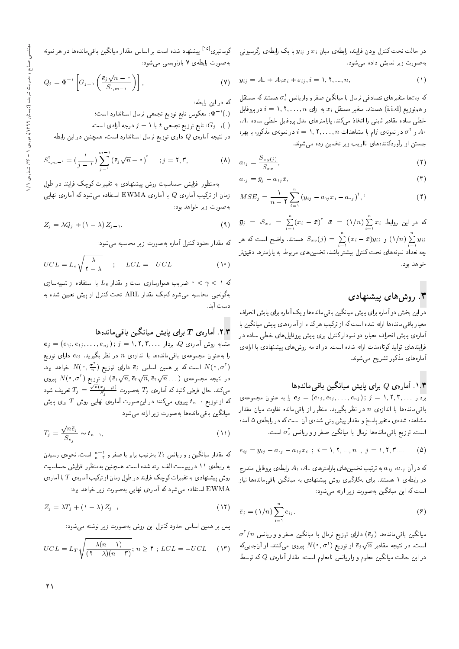در حالت تحت کنترل بودن فرایند، رابطهی میان  $x_i$  و  $y_{ij}$  با یک رابطهی رگرسیونی به صورت زیر نمایش داده می شود.

$$
y_{ij} = A_{+} + A_{\lambda} x_{i} + \varepsilon_{ij}, i = \lambda, \mathbf{Y}, ..., n,
$$
\n
$$
( \lambda )
$$

که ونتغیرهای تصادفی نرمال با میانگین صفرو واریانس که هستند که مستقل<br>پایان میکند : ۱۰ سپست و هم توزيع (i.i.d) هستند. متغير مستقل  $x_i$  به ازاى  $i = N, N, \ldots, n$  در پروفايل  $\cdot A$ . خطی ساده مقادیر ثابتی را اتخاذ میکند. پارامترهای مدل پروفایل خطی ساده و ۲ ه در نمونه $i$ ی i $i=1,$ ۲, . . . ,  $n$  حساسی و ای بهره  $A_1$ <br>آیست می جستن از برآوردكنندههاى نااريب زير تخمين زده مى شوند.

$$
a_{1j} = \frac{S_{xy(j)}}{S_{xx}},\tag{1}
$$

$$
a_{\,} = \bar{y}_j - a_{\lambda j} \bar{x},\tag{7}
$$

$$
MSE_j = \frac{1}{n-1} \sum_{i=1}^{n} (y_{ij} - a_{1j}x_i - a_{ij})^{\dagger},
$$
\n<sup>(†)</sup>

 $\bar{y}_j = S_{xx} = \sum_{i=1}^n (x_i - \bar{x})^{\dagger}$   $\bar{x} = (\sqrt{n}) \sum_{i=1}^n x_i$   $\frac{1}{\sqrt{n}}$  كه در اين روابط  $S_{xy}(j) = \sum\limits_{i=1}^{n} \frac{(-1)^i}{(x_i - \bar{x})y_{ij}}$  هستند. واضح است که هر  $(\sqrt{n})$  $i=1$  $y_{ij}$ چه تعداد نمونههای تحت کنترل بیشتر باشد، تخمینهای مربوط به پارامترها دقیقتر<br>مصا خواهد بود.

# ۳. روشهای پیشنهادی

در این بخش دو آماره برای پایش میانگین باقیءاندهها و یک آماره برای پایش انحراف معیار باقی ماندهها ارائه شده است که از ترکیب هرکدام از آمارههای پایش میانگین با آمارهی پایش انحراف معیار، دو نمودارکنترل برای پایش پروفایل های خطی ساده در فرایندهای تولید کوتاهمدت ارائه شده است. در ادامه روش۵ای پیشنهادی با ارائهی آمارههای مذکور تشریح می شوند.

### ا. آماره $Q$  برای یایش میانگین باقی ماندهها  $N$ .

 $\mathbf{e}_j=e_j=(e_{\setminus j}, e_{\setminus j}, \ldots, e_{nj})\, ; \, j=\setminus, \mathbf{Y}, \mathbf{Y}, \ldots\, , \mathbf{Z}$ بردار ۱ باقی ماندهها با اندازه $n$  در نظر بگیرید. منظور از باقی مانده تفاوت میان مقدار مشاهده شدهى متغير ياسخ و مقدار پيش بيني شدهى أن است كه در رابطهى ۵ أمده است. توزیع باقیماندهها نرمال با میانگین صفر و واریانس  $\sigma_{\varepsilon}^{\chi}$  است.

$$
e_{ij} = y_{ij} - a_{ij} - a_{ij}x_i \; ; \; i = \lambda, \lambda, ..., n \; , \; j = \lambda, \lambda, \lambda, ... \qquad (2)
$$

که در آن  $a_{1j}$  ، $a_{2j}$  به ترتیب تخمین های یارامترهای ، $A_{1}$  ،  $A_{2}$  رابطهی بروفایل مندرج در رابطهی ۱ هستند. برای بهکارگیری روش پیشنهادی به میانگین باق<sub>ی</sub>ماندهها نیاز است که این میانگین بهصورت زیر ارائه مه شود:

$$
\bar{e}_j = (\lambda/n) \sum_{i=1}^n e_{ij}.
$$
\n<sup>(9)</sup>

 $\sigma^\gamma/n$  میانگین باقی.اندهها (وَع) دارای توزیع نرمال با میانگین صفر و واریانس<br>استان میستان سوم استان میلادی که می ه ست کار کار کار کار واقع کار ست ست کردن کار میں اس کار کرنے کے مناسب کرنے کے مناسب کرنے کے سال کرنے کے سال کر<br>است. در نتیجه مقادیر  $\overline{e}_j\sqrt{n}$  از توزیع (  $N(\cdot, \sigma^{\rm t})$  پیروی میںکنند. از آن جایبی  $\Omega$  در این حالت میانگین معلوم و واریانس نامعلوم است، مقدار آماره $Q$  که توسط

کوسنبری<sup>[۱۵]</sup> پیشنهاد شده است بر اساس مقدار میانگین باقی.اندهها در هر نمونه<br>ایلمان این مدینی به صورت رابطهى ٧ بازنويسى مى شود:

$$
Q_j = \Phi^{-1} \left[ G_{j-1} \left( \frac{\bar{e}_j \sqrt{n} - \epsilon}{S_{j,m-1}} \right) \right], \tag{Y}
$$

كه در اين رابطه:

(.)`` E™ معکوس تابع توزیع تجمعی نرمال استاندارد است؛<br>``

تابع توزیع تجمعی  $t$  با ۱  $j = j \in \mathcal{G}_j$  (.) است.  $G_{j-1}(.)$ 

 $\alpha$ در نتیجه آماره $Q$  دارای توزیع نرمال استاندارد است، همچنین در این رابطه:

$$
S_{*,m-1}^{\dagger} = \left(\frac{1}{j-1}\right) \sum_{j=1}^{m-1} \left(\bar{e}_j \sqrt{n} - \cdot\right)^{\dagger} \quad ; j = \mathbf{1}, \mathbf{1}, \dots \tag{A}
$$

بهمنظور افزایش حساسیت روش پیشنهادی به تغییرات کوچک فرایند در طول

زمان از ترکیب آماره $|Q|$  با آماره $\Delta$  EWMA استفاده می شود که آماره $g$  نهایی به صورت زیر خواهد بود:

$$
Z_j = \lambda Q_j + \left(1 - \lambda\right) Z_{j-1}.\tag{4}
$$

كه مقدار حدود كنترل أماره بهصورت زير محاسبه مىشود:

$$
UCL = L_{\bar{e}} \sqrt{\frac{\lambda}{\mathbf{Y} - \lambda}} \qquad ; \qquad LCL = -UCL \tag{1}
$$

که ۱ $\gamma < \infty$  خدریب هموارسازی است و مقدار ج $L_{\bar{\varepsilon}}$  با استفاده از شبیهسازی<br>گ بهگونه یی محاسبه میشود که یک مقدار ARL تحت کنترل از پیش تعیین شده به دست آید.

#### اسارەي  $T$  براي پايش ميانگىين باقىيماندەھا $\tau$  .

 $e_j = (e_{1j}, e_{1j}, \ldots, e_{nj}); j = \lambda, \texttt{Y}, \texttt{Y}, \ldots, Q$  مَشَابِه روش آمارهى  $Q$ ، بردار را به عنوان مجموعهى باقىماندهها با اندازەى  $n$  در نظر بگيريد.  $e_{ij}$  داراى توزيع است که بر همین اساس وتح دارای توزیع (۰٫۰۰ مخواهد بود.  $N(\cdot, \frac{\sigma^\intercal}{n})$ <br>در است که بر هست سر سر است که بر است که محمد سر است.  $N(\degree, \sigma^{\dagger})$  لا يروى  $N(\degree, \sigma^{\dagger})$  وتوزيع ( $\overline{e_1}$  واز توزيع ( $\overline{e_1}$  وبروى  $\sqrt{n}, \overline{e_{\dagger}} \sqrt{n}, \overline{e_{\dagger}} \sqrt{n}$  ...) میکند. حال فرض کنید که آمارهی  $T_j$  بهصورت  $\frac{\sqrt{n}(x_j - \mu)}{S_j} = \frac{\sqrt{n}(x_j - \mu)}{S_j}$  تعریف شود که از توزیع ہ $t_{n-1}$  پیروی میکند؛ در این $\omega$ ورت آمارهی نهایی روش  $T$  برای پایش میانگین باقی.ماندهها بهصورت زیر ارائه می شود:

$$
T_j = \frac{\sqrt{n}\bar{e}_j}{S_{\bar{e}_j}} \sim t_{n-1},\tag{11}
$$

که مقدار میانگین و واریانس  $T_j$  بهترتیب برابر با صفر و جسی<sup>س</sup>ت. نحوهی رسیدن<br>ماراستان به رابطهى ١١ در پيوست الف ارائه شده است. همچنين بهمنظور افزايش حساسيت روش پیشنهادی به تغییرات کوچک فرایند در طول زمان از ترکیب آمارهی  $T$  با آمارهی EWMA استفاده میشود که آمارهی نهایی بهصورت زیر خواهد بود:

$$
Z_j = \lambda T_j + (\lambda - \lambda) Z_{j-1}.
$$
 (17)

پس بر همین اساس حدود کنترل این روش به صورت زیر نوشته می شود:

$$
UCL = L_T \sqrt{\frac{\lambda(n-1)}{(\Upsilon - \lambda)(n-\Upsilon)}}; \ n \ge \Upsilon; \ LCL = -UCL \quad (\Upsilon \Upsilon)
$$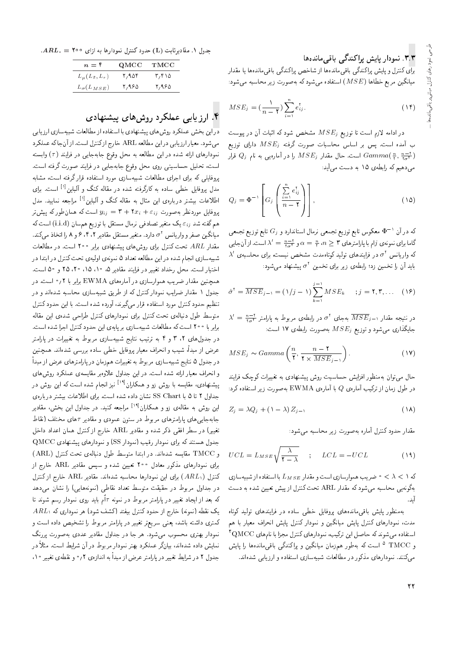#### ۳.۳. نمودار پایش پراکندگے باقے ماندہ ها

.<br>برای کنترل و پایش پراکندگی باقی.ماندهها از شاخص پراکندگی باقی.ماندهها یا مقدار میانگین مربع خطاها (MSE) استفاده می شود که به صورت زیر محاسبه می شود:

$$
MSE_j = \left(\frac{1}{n-1}\right) \sum_{i=1}^{n} e_{ij}^{\dagger}.
$$
 (1f)

 $KSE_{j}$  در ادامه لازم است تا توزیع و $MSE_{j}$  مشخص شود که اثبات آن در پیوست ب آمده است. پس بر اساس محاسبات صورت گرفته  $MSE_j$  دارای توزیع لست. حال مقدار  $MSE_j$  را در آمارهیی به نام  $Gamma\left(\frac{n}{r},\frac{n-1}{r\sigma^r}\right)$  قرار  $\frac{1}{\sigma}$ می دهیم که رابطهی ۱۵ به دست می آید:

$$
Q_j = \Phi^{-1} \left[ G_j \left( \frac{\sum_{i=1}^n e_{ij}^{\dagger}}{n - \mathbf{Y}} \right) \right], \tag{10}
$$

كه در آن ` ¬® معكوس تابع توزيع تجمعي نرمال استاندارد و زG تابع توزيع تجمعي<br>گارا ما مدن مسلم الساس مسلم مسلم مسلم مسلم مسلم السابق گاما برای نمونه ی ژام با پارامترهای ۳ $n \geq \frac{n}{t}$  و  $\frac{n-1}{t}$  =  $\lambda'$  است. از آن جایبی $\lambda'$  $\lambda'$  در فرایندهای تولید کوتاهمدت مشخص نیست، برای محاسبهی  $\sigma^{\chi}$ <br>استقاده است باید آن را تخمین زد؛ رابطه $\sigma$  زیر برای تخمین  $\sigma^{\gamma}$  پیشنهاد میشود:

$$
\hat{\sigma}^{\dagger} = \overline{MSE}_{j-1} = (\mathcal{N} / j - 1) \sum_{k=1}^{j-1} MSE_k \quad ; j = \mathcal{N}, \mathcal{K}, \dots \quad (\mathcal{N})
$$

 $\lambda' = \frac{n-1}{1\sigma^Y}$  در تتيجه مقدار  $\overline{MSE}_j$  به جای  $\sigma^Y$  در رابطه $\lambda' = \frac{1}{1\sigma^Y}$  در رابطه در دار جايگذارى مى شود و توزيع  $MSE_j$  به صورت رابطهى ۱۷ است:

$$
MSE_j \sim Gamma\left(\frac{n}{\mathbf{Y}}, \frac{n-\mathbf{Y}}{\mathbf{Y} \times \overline{MSE}_{j-1}}\right). \tag{1V}
$$

حال می توان بهمنظور افزایش حساسیت روش پیشنهادی به تغییرات کوچک فرایند در طول زمان از ترکیب آمارهی  $Q$  با آمارهی  $\operatorname{EWMA}$  بهصورت زیر استفاده کرد:

$$
Z_j = \lambda Q_j + \left(\lambda - \lambda\right) Z_{j-1} \tag{14}
$$

مقدار حدود كنترل أماره بهصورت زير محاسبه مى شود:

$$
UCL = L_{MSE} \sqrt{\frac{\lambda}{\gamma - \lambda}} \qquad ; \qquad LCL = -UCL \tag{14}
$$

که ۱ $\lambda < \lambda < \epsilon$  ضریب هموارسازی است و مقدار  $L_{MSE}$  با استفاده از شبیهسازی بهگونه یی محاسبه میشود که مقدار ARL تحت کنترل از پیش تعیین شده به دست ايد.<br>.

بهمنظور پایش باقی ماندههای پروفایل خطی ساده در فرایندهای تولید کوتاه مدت، نمودارهای کنترل پایش میانگین و نمودار کنترل پایش انحراف معیار با هم  $^{\mathsf{f}}\mathbf{QMCC}$  استفاده میشوند که حاصل این ترکیب، نمودارهای کنترل مجزا با نامهای و TMCC <sup>0</sup> است که بهطور همزمان میانگین و پراکندگی باقیمانده ا را پایش میکنند. نمودارهای مذکور در مطالعات شبیهسازی استفاده و ارزیابی شدهاند.

 $ARL.$  = جدول ١. مقاديرثابت (L) حدود كنترل نمودارها به ازاي ٢٥٥

| QMCC  | TMCC  |
|-------|-------|
| ۲٬۹۵۴ | ۲٬۴۱۵ |
| ۲٬۹۶۵ | ۲٬۹۶۵ |
|       |       |

### ۴. ارزیابی عملکرد روشهای پیشنهادی

دراین بخش عملکرد روش های پیشنهادی با استفاده از مطالعات شبیهسازی ارزیابی میشود. معیار ارزیابی در این مطالعه ARL خارج ازكنترل است. از آن جاكه عملكرد نمودارهای ارائه شده در این مطالعه به محل وقوع جابهجایی در فرایند (+) وابسته است، تحليل حساسيتي روى محل وقوع جابهجايي در فرايند صورت گرفته است. پروفایلمی که برای اجرای مطالعات شبیهسازی مورد استفاده قرار گرفته است، مشابه مدل پروفایل خطی ساده به کارگرفته شده در مقاله کنگ و آلباین<sup>[۱]</sup> است. برای اطلاعات بیشتر دربارهی این مثال به مقاله کنگ و آلباین<sup>11</sup> مراجعه نمایید. مدل<br>مقاله استفاده پروفایل موردنظر بهصورت  $x_i+\tau_x+\tau_x+\cdots$  است که همان $d$ ور که پیش $\tau$ ر هم گفته شد  $\varepsilon_{ij}$  یک متغیر تصادفی نرمال مستقل با توزیع همسان (i.i.d) است که میانگین صفر و واریانس ۲ه دارد. متغیر مستقل مقادیر ۴،۲ و ۶ م را اتخاذ میکند.<br>تعلم 125 میسیم کرد است و استفاده استفاده مقدار  $ARL$  تحت کنترل برای روش های پیشنهادی برابر ۲۰۰ است. در مطالعات شبیهسازی انجام شده در این مطالعه تعداد ۵ نمونهی اولیهی تحت کنترل در ابتدا در اختیار است. محل رخداد تغییر در فرایند مقادیر ۵، ۱۰، ۲۵، ۲۵ و ۵۰ است. همچنین مقدار ضریب هموارسازی در آمارههای EWMA برابر با ۰٫۲ است. در جدول ۱ مقدار ضرایب نمودار کنترل که از طریق شبیهسازی محاسبه شدماند و <mark>د</mark>ر تنظيم حدود كنترل مورد استفاده قرار مى گيرند، آورده شده است. با اين حدود كنترل متوسط طول دنبالهى تحت كنترل براى نمودارهاى كنترل طراحى شدهى اين مقاله برابر با ۲۰۰ است که مطالعات شبیهسازی بر پایهی این حدود کنترل اجرا شده است. در جدول های ۲، ۳ و ۴ به ترتیب نتایج شبیهسازی مربوط به تغییرات در پارامتر عرض از مبدأ، شيب و انحراف معيار يروفايل خطى ساده بررسى شدهاند. همچنين در جدول ۵ نتایج شبیهسازی مربوط به تغییرات همزمان در پارامترهای عرض از مبدأ و انحراف معيار ارائه شده است. در اين جداول علاوهبر مقايسه يعملكرد روش هاى پیشنهادی، مقایسه با روش زو و همکاران<sup>[۱۹]</sup> نیز انجام شده است که این روش در<br>مسایله کاراه ایران CO CU جداول ۲ تا ۵ با SS Chart نشان داده شده است. برای اطلاعات بیشتر درباره ی این روش به مقالهی زو و همکاران<sup>۱۹</sup><sup>1)</sup> مراجعه کنید. در جداول این بخش، مقادیر<br>ا جابه جایبی های پارامترهای مربوط در ستون عمودی و مقادیر  $\tau$ های مختلف (نقاط تغییر) در سطر افقی ذکر شده و مقادیر ARL خارج از کنترل همان اعداد داخل  $\rm QMCC$  جدول هستند که برای نمودار رقیب (نمودار SS) و نمودارهای پیشنهادی و TMCC مقايسه شدهاند. در ابتدا متوسط طول دنبالهى تحت كنترل (ARL) برای نمودارهای مذکور معادل °۲۰ تعیین شده و سپس مقادیر ARL خارج از  $\phi$ کنترل ( $ARL_{1}$ ) برای این نمودارها محاسبه شدهاند. مقادیر  $ARL_{1}$  خارج از کنترل در جداول مربوط در حقیقت متوسط تعداد نقاطی (نمونههایی) را نشان می دهد که بعد از ایجاد تغییر در پارامتر مربوط در نمونه  $\tau$ ام باید روی نمودار رسم شوند تا  $ARL_1$  يک نقطه (نمونه) خارج از حدود کنترل بيفتد (کشف شود) هر نموداری که کمتری داشته باشد، یعنی سریعتر تغییر در پارامتر مربوط را تشخیص داده است و نمودار بهتری محسوب میشود. هر جا در جداول مقادیر عددی بهصورت پررنگ نمایش داده شدهاند، بیانگر عملکرد بهتر نمودار مربوط در آن شرایط است. مثلاً در جدول ۲ در شرایط تغییر در پارامتر عرض از مبدا به اندازهی ۲<sub>۱</sub>° و نقطهی تغییر ۱۰<br>.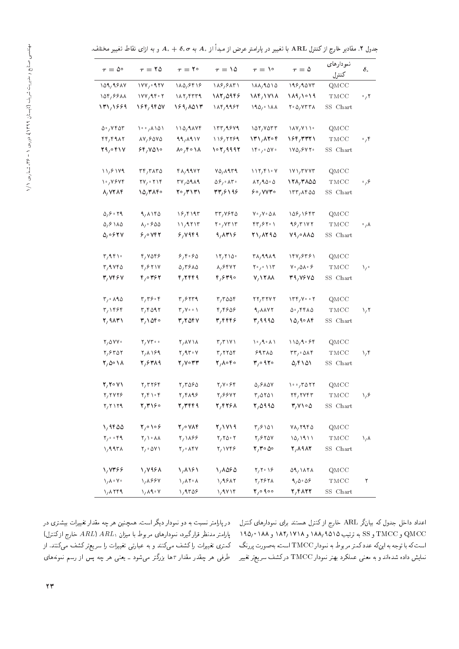| $\tau = \Delta^{\circ}$                               | $\tau = 10$                                        | $\tau = \mathbf{Y} \circ$                                | $\tau = \Delta$                                      | $\tau = 1^{\circ}$                                       | $\tau = \Delta$                                                             | نمودا رهاى<br>كنترل          | $\delta$ .         |
|-------------------------------------------------------|----------------------------------------------------|----------------------------------------------------------|------------------------------------------------------|----------------------------------------------------------|-----------------------------------------------------------------------------|------------------------------|--------------------|
| 109,9817                                              | 1YY, 0.9YY                                         | 110,9898                                                 | 119,9171                                             | $\lambda \lambda / 9000$                                 | 199,90Y                                                                     | QMCC                         |                    |
| 104,8811                                              | ۲۰ ۱۷۷٫۹۴                                          | $\lambda \lambda \gamma$ , $\gamma \gamma \gamma \gamma$ | 182,0945                                             | 184,1718                                                 | 189,1019                                                                    | TMCC                         | $\cdot$ , ۲        |
| 171/1999                                              | 164,9407                                           | 189,1017                                                 | 184,9984                                             | 190/214                                                  | $Y \cdot \Delta$ , $Y Y Y \wedge$                                           | SS Chart                     |                    |
| 0.748                                                 | ۱۰۰٫۸۱۵۱                                           | $110,9$ $\Delta Vf$                                      | 155,9849                                             | 107/VOTT                                                 | $\lambda \lambda V / \lambda \lambda$                                       | QMCC                         |                    |
| rr/F1AT                                               | 17,8070                                            | 99,091V                                                  | 118,7789                                             | ۱۳۱٫۸۲۰۴                                                 | ۱۶۴٫۳۳۲۱                                                                    | TMCC                         | $^{\circ}$ / ۴     |
| 29,0417                                               | ۶۴٫۷۵۱۰                                            | ۱۸ ه ۲ ره                                                | ۱۰۲٫۹۹۹۲                                             | $\mathcal{N} \cdot \mathcal{N} \cdot \mathcal{N}$        | $\sqrt{20.5}$                                                               | SS Chart                     |                    |
| 11,8179                                               | rr/TATO                                            | $Y\Lambda$ , 99 $YY$                                     | $Y_0, \lambda$ 9 $T_1$                               | 117, 51.4                                                | $\frac{1}{2}$                                                               | QMCC                         |                    |
| ۷۶ ۲۴ م۱                                              | ۲۷٫۰۲۱۴                                            | TV, O9A                                                  | $\Delta \mathcal{S}_f \cdot \mathsf{A} \mathsf{r}$ . | $\lambda Y$ , $9000$                                     | ۱۲۸٫۳۸۵۵                                                                    | TMCC                         | ۶٫۰                |
| 8,7284                                                | 10,3140                                            | ۲۰٫۳۱۳۱                                                  | 31195                                                | <b>۶۰٬۷۷۳۰</b>                                           | 177,1800                                                                    | SS Chart                     |                    |
| 0, 8.79                                               | 9, 1180                                            | ۱۶٫۴۱۹۳                                                  | ۳۳,۷۶۴۵                                              | ۷۰٬۷۰۵۸                                                  | 108, 1943                                                                   | QMCC                         |                    |
| 0, 9, 10                                              | $\lambda_1 \circ 900$                              | 11,9717                                                  | ۲۰٫۷۳۱۳                                              | ۲۳٫۶۲۰۱                                                  | 98,3177                                                                     | TMCC                         | $\cdot$ , $\wedge$ |
| $\Delta$ <sub>/</sub> $\circ$ $\circ$ $\circ$ $\circ$ | 5,0                                                | 5,0969                                                   | 9,0719                                               | 21,8290                                                  | $V_1 \circ \Lambda \Lambda \Delta$                                          | SS Chart                     |                    |
| $\mathsf{r}_1\mathsf{a}\mathsf{r}_1\cdot$             | 4,7048                                             | 8,8.80                                                   | 17/710                                               | ۳۸٫۹۹۸۹                                                  | 147,8481                                                                    | QMCC                         |                    |
| r, q, v, r                                            | ۴٫۶۲۱۷                                             | 0,7910                                                   | 8,8442                                               | $Y^{\circ}$ / $\setminus Y^{\circ}$                      | $V^{\circ}/\Delta\Lambda^{\circ}$ &                                         | TMCC                         | ۰, ۱               |
| 3,7464                                                | 460 م/۴                                            | 4,2449                                                   | 4,6390                                               | <b>Y/1788</b>                                            | <b>٣٩,٧۶٧٥</b>                                                              | SS Chart                     |                    |
| $r, \cdot \wedge q$                                   | $r, r$ ۶۰۴                                         | $r,$ $5179$                                              | $r, r$ $\omega r$                                    | 22,724                                                   | $\mathcal{N} \mathcal{F} \mathcal{F} / \mathcal{V} \cdot \cdot \mathcal{F}$ | QMCC                         |                    |
| ۳٫۱۴۶۴                                                | $r, r$ $097$                                       | $\mathbf{r}, \mathbf{v} \cdot \mathbf{v}$                | ۴٫۴۶۵۶                                               | 9, 8872                                                  | 0.79710                                                                     | TMCC                         | $\sqrt{r}$         |
| Y/9AY                                                 | 31040                                              | 3,2047                                                   | ۳٬۴۴۴۶                                               | ۴٫۹۹۹۵                                                   | 10,90                                                                       | SS Chart                     |                    |
| $Y/\Delta VY$                                         | Y/YY                                               | ۲٫۸۷۱۸                                                   | $r/r$ ۱۷۱                                            | $\left(\cdot\right)$ / $\left(\cdot\right)$              | ۱۱۵٬۹۰۶۴                                                                    | QMCC                         |                    |
| $Y, 8Y$ $0Y$                                          | ۲٫۸۱۶۹                                             | $\mathsf{Y}_7$ 9 $\mathsf{Y} \cdot \mathsf{Y}$           | ۳٫۲۲۵۴                                               | 59710                                                    | $rr, \circ \Delta \wedge r$                                                 | TMCC                         | ۱٬۴                |
| $\mathsf{Y},\Delta\circ\Lambda$                       | 2,8489                                             | 2003                                                     | ۴٫۸۰۴۰                                               | ۴٫۰۹۲۰                                                   | 0,6101                                                                      | SS Chart                     |                    |
| 2/10 N /                                              | ۲٫۳۲۶۴                                             | $Y/T$ $080$                                              | ۲٫۷۰۶۴                                               | $0,9$ $\lambda$ $\Delta V$                               | $\mathcal{N} \cdot \mathcal{N}$                                             | QMCC                         |                    |
| Y, YYYS                                               | $\mathbf{Y}, \mathbf{Y} \setminus \mathbf{Y}$      | 2,4198                                                   | 2,6672                                               | $r, \Delta r \Delta V$                                   | 24,7743                                                                     | TMCC                         | ۱٫۶                |
| Y/Y                                                   | 7, 3160                                            | 2,344                                                    | 2,4258                                               | 7,0990                                                   | $\mathbf{r}/\mathbf{v}\cdot\mathbf{0}$                                      | SS Chart                     |                    |
| ۱٬۹۴۵۵                                                | $\mathbf{Y}_{1} \circ \mathbf{Y} \circ \mathbf{Y}$ | 20084                                                    | 7,1719                                               | T/9101                                                   | $V_A, Y1f \Delta$                                                           | QMCC                         |                    |
| $Y/\cdot \cdot Y$                                     | $\mathsf{Y}_1 \setminus \cdot \land \Lambda$       | 1/1188                                                   | $Y, Y \Delta \cdot Y$                                | $Y, 8Y$ $0Y$                                             | 10/1911                                                                     | $\mathop{\rm TMCC}\nolimits$ | ۱٫۸                |
| 1,997                                                 | $Y/\circ \Delta Y$                                 | $Y/\circ \Lambda$ ۴۷                                     | Y/1YY9                                               | ٥٥ ٢٠٣٠                                                  | <b>٢,٨٩٨٢</b>                                                               | SS Chart                     |                    |
| 1,7388                                                | 1,7988                                             | 1,8161                                                   | ۱٬۸۵۶۵                                               | $\mathbf{Y}_1 \mathbf{Y} \cdot \mathbf{Y}$               | 09, 1171                                                                    | QMCC                         |                    |
| $\lambda/\lambda \cdot \lambda$                       | 1,1994                                             | $\lambda / \lambda Y \cdot \lambda$                      | 1,9812                                               | Y, Y                                                     | 9,0.08                                                                      | $\mathop{\rm TMCC}\nolimits$ | ٢                  |
| $\lambda / \lambda$ ٢۴۹                               | $\lambda / \lambda$ ۹۰۷                            | 1,9709                                                   | ۱٬۹۷۱۴                                               | $\mathbf{Y}_{\mathcal{P}}\circ\mathbf{Q}\circ\mathbf{Q}$ | 2,4122                                                                      | SS Chart                     |                    |

جدول ۲. مقادیر خارج ازکنترل ARL با تغییر در پارامتر عرض از مبدأ از . $A$  به  $\sigma$ . $A$  و به ازای نقاط تغییر مختلف.

در پارامتر نسبت به دو نمودار دیگر است. همچنین هر چه مقدار تغییرات بیشتری در  $p_{\rm c}$ پارامتر مدنظر قرارگیرد، نمودارهای مربوط با میزان  $ARL$  )  $ARL$  خارج ازکنترل کمتری تغییرات را کشف میکنند و به عبارتی تغییرات را سریعتر کشف میکنند. از طرفی هر چقدر مقدار  $\tau$ ها بزرگتر میشود ـ یعنی هر چه پس از رسم نمونههای

اعداد داخل جدول که بیانگر ARL خارج از کنترل هستند برای نمودارهای کنترل  $190/^\circ$ د SS به ترتیب ۱۸۵٬۹۵۱۵ و ۱۹۵٬۰۱۸۸ و ۱۹۵٬۰۱۸۸ و ۱۹۵٬۰ است که با توجه به اینکه عددکمتر مربوط به نمودار TMCC است، به صورت پررنگ نمایش داده شدهاند و به معنی عملکرد بهتر نمودار TMCC درکشف سریعتر تغییر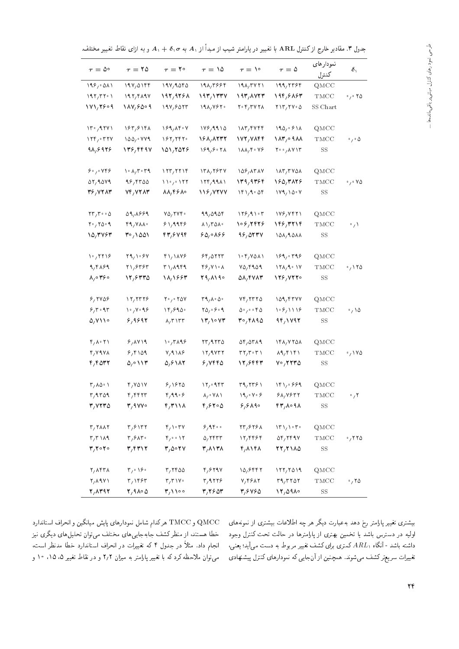جدول ٣. مقادير خارج ازكنترل ARL با تغيير در پارامتر شيب از مبدأ از ,A به  $\sigma, \sigma$  و به ازاى نقاط تغيير مختلف.

| $19V,$ $01ff$<br>199/001<br>191,9050<br>198,3888<br>19A/TV<br>199,7585<br>QMCC<br>197,975<br>197/177V<br>194,5854<br>197/T<br>197,709V<br>193,872<br>TMCC<br>۲۵ ۰٫۰<br>171,2509<br>184699<br>194/6017<br>19A/Y<br>$Y \cdot Y / Y Y Y$<br>$Y \setminus Y, Y \setminus \circ \Delta$<br>SS Chart<br>199,9910<br>$\Upsilon_0$ , 12 $\Upsilon$<br>183,8148<br>189,8808<br>$\lambda \lambda r$ , $r \vee r$<br>190,911<br>QMCC<br>$\Lambda$ ۳, $\circ$ ۹۸۸<br>$\mathcal{N}(\mathcal{F}) \cdot \mathcal{F}(\mathcal{F})$<br>$\lambda$ $\Delta$ $\Delta$ $\gamma$ $\sim$ $\gamma$ $\gamma$<br>۱۶۲٫۲۴۲۰<br>168,8232<br>172,7844<br>$\cdot$ , $\cdot$ $\Delta$<br>TMCC<br>98,8928<br>101,7078<br>189,8071<br>$Y \cdot \cdot / \Lambda V$<br>136,4497<br>$\lambda \lambda, \gamma \cdot \gamma$<br>SS<br>80,008<br>$\lambda \cdot \lambda / r \cdot r$<br>$\frac{1}{r}$<br>138,7854<br>108,1517<br>$\lambda \lambda \mathsf{r}/\mathsf{r}$ val<br>QMCC<br>07,9019<br>99,9700<br>$\mathcal{W}_{1,1}$ / $\mathcal{W}_{1,1}$<br>179,9911<br>139,9364<br>160,3126<br>۷۵ ۰٫۰<br>TMCC<br>36,7214<br>74,7284<br>88,448<br>116,7277<br>181, 100<br>1Y1, 10Y<br>SS<br>$\mathsf{Y}\mathsf{Y}\mathsf{Y}\mathsf{Y}\cdots\mathsf{Y}$<br>09,1889<br>$Y_0, Y_0, \cdots$<br>99,0909<br>179,91.7<br>199, 9871<br>QMCC<br>$Y^{\circ}$ , $Y^{\circ}$<br>$f \frac{1}{4} y \lambda \lambda$<br>$\lambda \lambda / r \Delta \lambda$<br>106,2445<br>۱۴۶٫۳۲۱۴<br>81,9999<br>$\cdot / \sqrt{2}$<br>TMCC<br>10,3744<br>43,6794<br>60,0166<br>99,0574<br>101,9011<br>۳۰٬۱۵۵۱<br>SS | $\tau = \Delta^{\circ}$ | $\tau = 10$ | $\tau = 1^{\circ}$ | $\tau = \Delta$ | $\tau = \mathcal{N}^{\circ}$ | $\tau = \Delta$ | نمودا رهاى<br>كنترل | $\delta_1$ |
|------------------------------------------------------------------------------------------------------------------------------------------------------------------------------------------------------------------------------------------------------------------------------------------------------------------------------------------------------------------------------------------------------------------------------------------------------------------------------------------------------------------------------------------------------------------------------------------------------------------------------------------------------------------------------------------------------------------------------------------------------------------------------------------------------------------------------------------------------------------------------------------------------------------------------------------------------------------------------------------------------------------------------------------------------------------------------------------------------------------------------------------------------------------------------------------------------------------------------------------------------------------------------------------------------------------------------------------------------------------------------------------------------------------------------------------------------------------------------------------------------------------------------------------------|-------------------------|-------------|--------------------|-----------------|------------------------------|-----------------|---------------------|------------|
|                                                                                                                                                                                                                                                                                                                                                                                                                                                                                                                                                                                                                                                                                                                                                                                                                                                                                                                                                                                                                                                                                                                                                                                                                                                                                                                                                                                                                                                                                                                                                |                         |             |                    |                 |                              |                 |                     |            |
|                                                                                                                                                                                                                                                                                                                                                                                                                                                                                                                                                                                                                                                                                                                                                                                                                                                                                                                                                                                                                                                                                                                                                                                                                                                                                                                                                                                                                                                                                                                                                |                         |             |                    |                 |                              |                 |                     |            |
|                                                                                                                                                                                                                                                                                                                                                                                                                                                                                                                                                                                                                                                                                                                                                                                                                                                                                                                                                                                                                                                                                                                                                                                                                                                                                                                                                                                                                                                                                                                                                |                         |             |                    |                 |                              |                 |                     |            |
|                                                                                                                                                                                                                                                                                                                                                                                                                                                                                                                                                                                                                                                                                                                                                                                                                                                                                                                                                                                                                                                                                                                                                                                                                                                                                                                                                                                                                                                                                                                                                |                         |             |                    |                 |                              |                 |                     |            |
|                                                                                                                                                                                                                                                                                                                                                                                                                                                                                                                                                                                                                                                                                                                                                                                                                                                                                                                                                                                                                                                                                                                                                                                                                                                                                                                                                                                                                                                                                                                                                |                         |             |                    |                 |                              |                 |                     |            |
|                                                                                                                                                                                                                                                                                                                                                                                                                                                                                                                                                                                                                                                                                                                                                                                                                                                                                                                                                                                                                                                                                                                                                                                                                                                                                                                                                                                                                                                                                                                                                |                         |             |                    |                 |                              |                 |                     |            |
|                                                                                                                                                                                                                                                                                                                                                                                                                                                                                                                                                                                                                                                                                                                                                                                                                                                                                                                                                                                                                                                                                                                                                                                                                                                                                                                                                                                                                                                                                                                                                |                         |             |                    |                 |                              |                 |                     |            |
|                                                                                                                                                                                                                                                                                                                                                                                                                                                                                                                                                                                                                                                                                                                                                                                                                                                                                                                                                                                                                                                                                                                                                                                                                                                                                                                                                                                                                                                                                                                                                |                         |             |                    |                 |                              |                 |                     |            |
|                                                                                                                                                                                                                                                                                                                                                                                                                                                                                                                                                                                                                                                                                                                                                                                                                                                                                                                                                                                                                                                                                                                                                                                                                                                                                                                                                                                                                                                                                                                                                |                         |             |                    |                 |                              |                 |                     |            |
|                                                                                                                                                                                                                                                                                                                                                                                                                                                                                                                                                                                                                                                                                                                                                                                                                                                                                                                                                                                                                                                                                                                                                                                                                                                                                                                                                                                                                                                                                                                                                |                         |             |                    |                 |                              |                 |                     |            |
|                                                                                                                                                                                                                                                                                                                                                                                                                                                                                                                                                                                                                                                                                                                                                                                                                                                                                                                                                                                                                                                                                                                                                                                                                                                                                                                                                                                                                                                                                                                                                |                         |             |                    |                 |                              |                 |                     |            |
|                                                                                                                                                                                                                                                                                                                                                                                                                                                                                                                                                                                                                                                                                                                                                                                                                                                                                                                                                                                                                                                                                                                                                                                                                                                                                                                                                                                                                                                                                                                                                |                         |             |                    |                 |                              |                 |                     |            |
|                                                                                                                                                                                                                                                                                                                                                                                                                                                                                                                                                                                                                                                                                                                                                                                                                                                                                                                                                                                                                                                                                                                                                                                                                                                                                                                                                                                                                                                                                                                                                |                         |             |                    |                 |                              |                 |                     |            |
|                                                                                                                                                                                                                                                                                                                                                                                                                                                                                                                                                                                                                                                                                                                                                                                                                                                                                                                                                                                                                                                                                                                                                                                                                                                                                                                                                                                                                                                                                                                                                |                         |             |                    |                 |                              |                 |                     |            |
| $\frac{1}{4}$<br>189,009<br>29, 10.84<br>41,1148<br>89/0777<br>$\cdot$ $\cdot$ $\cdot$ $\cdot$ $\cdot$ $\cdot$<br>QMCC                                                                                                                                                                                                                                                                                                                                                                                                                                                                                                                                                                                                                                                                                                                                                                                                                                                                                                                                                                                                                                                                                                                                                                                                                                                                                                                                                                                                                         |                         |             |                    |                 |                              |                 |                     |            |
| 9,9199<br>$17\lambda, 9.1V$<br>.110<br>۲۱٬۶۳۶۳<br>۳۱٫۸۹۴۹<br>۴۶٬۷۱۰۸<br>$Y_0, Y_1, Q_1$<br>TMCC                                                                                                                                                                                                                                                                                                                                                                                                                                                                                                                                                                                                                                                                                                                                                                                                                                                                                                                                                                                                                                                                                                                                                                                                                                                                                                                                                                                                                                                |                         |             |                    |                 |                              |                 |                     |            |
| ۴۶۰م/۸<br>12,8440<br>18/1663<br>29,8190<br>۵۸٫۴۷۸۳<br>126,7220<br>SS                                                                                                                                                                                                                                                                                                                                                                                                                                                                                                                                                                                                                                                                                                                                                                                                                                                                                                                                                                                                                                                                                                                                                                                                                                                                                                                                                                                                                                                                           |                         |             |                    |                 |                              |                 |                     |            |
| 8,7808<br>$\frac{17}{17}$<br>$Y \cdot y \cdot Y \Delta V$<br>T9, A. O.<br>Yf, Yff<br>109,4777<br>QMCC                                                                                                                                                                                                                                                                                                                                                                                                                                                                                                                                                                                                                                                                                                                                                                                                                                                                                                                                                                                                                                                                                                                                                                                                                                                                                                                                                                                                                                          |                         |             |                    |                 |                              |                 |                     |            |
| 8,7.97<br>$\gamma \cdot \gamma$ . 98<br>$19,990$ .<br>$\mathbf{Y} \Delta_f \cdot \mathbf{S} \cdot \mathbf{A}$<br>0.000000<br>$\frac{8}{7}$<br>$\cdot$ / \ $\circ$<br>TMCC                                                                                                                                                                                                                                                                                                                                                                                                                                                                                                                                                                                                                                                                                                                                                                                                                                                                                                                                                                                                                                                                                                                                                                                                                                                                                                                                                                      |                         |             |                    |                 |                              |                 |                     |            |
| 0, 110<br>6,9692<br>$\mathcal{N}$<br>30,4190<br>94,1798<br>$\lambda$ , $\tau$ $\lambda$ $\tau$ $\tau$<br>SS                                                                                                                                                                                                                                                                                                                                                                                                                                                                                                                                                                                                                                                                                                                                                                                                                                                                                                                                                                                                                                                                                                                                                                                                                                                                                                                                                                                                                                    |                         |             |                    |                 |                              |                 |                     |            |
|                                                                                                                                                                                                                                                                                                                                                                                                                                                                                                                                                                                                                                                                                                                                                                                                                                                                                                                                                                                                                                                                                                                                                                                                                                                                                                                                                                                                                                                                                                                                                |                         |             |                    |                 |                              |                 |                     |            |
| $\mathfrak{r}_7\wedge\mathfrak{r}_1$<br>8/14<br>۱۰٬۳۸۹۶<br>rr, 9, 7, 6<br>$\Delta f$ , $\Delta r \wedge q$<br>148,4208<br>QMCC                                                                                                                                                                                                                                                                                                                                                                                                                                                                                                                                                                                                                                                                                                                                                                                                                                                                                                                                                                                                                                                                                                                                                                                                                                                                                                                                                                                                                 |                         |             |                    |                 |                              |                 |                     |            |
| $V_1$ 9188<br>$\cdot$ , ۱۷۵<br>۲٬۷۹۷۸<br>8,8109<br>$\frac{17}{4}$ Yr Y<br>$\mathbf{r}\,\mathbf{r}_{\scriptscriptstyle{f}}\,\mathbf{r}\cdot\mathbf{r}$ )<br>$\lambda$ 9, F $\lambda$ F $\lambda$<br>TMCC                                                                                                                                                                                                                                                                                                                                                                                                                                                                                                                                                                                                                                                                                                                                                                                                                                                                                                                                                                                                                                                                                                                                                                                                                                                                                                                                        |                         |             |                    |                 |                              |                 |                     |            |
| ۴٫۴۵۳۲<br>۱۱۳ ۱۵/۰<br>5,8182<br>۶٬۷۴۴۵<br>۲۰٬۲۲۳۵<br>12,5444<br>SS                                                                                                                                                                                                                                                                                                                                                                                                                                                                                                                                                                                                                                                                                                                                                                                                                                                                                                                                                                                                                                                                                                                                                                                                                                                                                                                                                                                                                                                                             |                         |             |                    |                 |                              |                 |                     |            |
| $\mathsf{r}_1\wedge\mathsf{r}_2\cdot\mathsf{r}_1$<br>$r, v \Delta V$<br>$\mathcal{N}_{\mathcal{L}}\circ \mathcal{N}$<br>T9,7791<br>181,0999<br>8,1870<br>$_{\rm QMCC}$                                                                                                                                                                                                                                                                                                                                                                                                                                                                                                                                                                                                                                                                                                                                                                                                                                                                                                                                                                                                                                                                                                                                                                                                                                                                                                                                                                         |                         |             |                    |                 |                              |                 |                     |            |
| $r, 9r$ 09<br>4,99.8<br>$\lambda$ <sub>/</sub> $\forall$ A \<br>19,000<br>$r$ , $r$ $r$ $r$<br>8A, Y577<br>TMCC<br>$\cdot$ / $\cdot$                                                                                                                                                                                                                                                                                                                                                                                                                                                                                                                                                                                                                                                                                                                                                                                                                                                                                                                                                                                                                                                                                                                                                                                                                                                                                                                                                                                                           |                         |             |                    |                 |                              |                 |                     |            |
| ٣/٧٢٣٥<br>$\mathbf{r}/\mathbf{A}$ vvo<br>f/T<br>4,6400<br>8,9190<br>47,004<br>$_{\rm SS}$                                                                                                                                                                                                                                                                                                                                                                                                                                                                                                                                                                                                                                                                                                                                                                                                                                                                                                                                                                                                                                                                                                                                                                                                                                                                                                                                                                                                                                                      |                         |             |                    |                 |                              |                 |                     |            |
|                                                                                                                                                                                                                                                                                                                                                                                                                                                                                                                                                                                                                                                                                                                                                                                                                                                                                                                                                                                                                                                                                                                                                                                                                                                                                                                                                                                                                                                                                                                                                |                         |             |                    |                 |                              |                 |                     |            |
| $r, r \wedge \wedge r$<br>$\mathbf{r}_{1}\mathbf{s}$ $\mathbf{r}_{1}\mathbf{r}$<br>$\mathfrak{r}_{1} \cdots \mathfrak{r}_{V}$<br>8,9800<br>$\mathbf{Y}\mathbf{y}/\mathbf{y}$<br>$\{\mathbf{r}_1, \mathbf{r}_2, \ldots, \mathbf{r}_n\}$<br>$\mathbf Q \mathbf M \mathbf C \mathbf C$                                                                                                                                                                                                                                                                                                                                                                                                                                                                                                                                                                                                                                                                                                                                                                                                                                                                                                                                                                                                                                                                                                                                                                                                                                                            |                         |             |                    |                 |                              |                 |                     |            |
| $r, r \wedge \wedge q$<br>$\mathbf{r}_{1}\mathbf{s}$ $\mathbf{r}_{2}\mathbf{s}$<br>$\mathfrak{f}_1 \circ \circ \mathfrak{f}$<br>0, 1117<br>12,4454<br>$\Delta f$ , $\gamma f$<br>.770<br>TMCC                                                                                                                                                                                                                                                                                                                                                                                                                                                                                                                                                                                                                                                                                                                                                                                                                                                                                                                                                                                                                                                                                                                                                                                                                                                                                                                                                  |                         |             |                    |                 |                              |                 |                     |            |
| $\mathbf{r}, \mathbf{r} \circ \mathbf{r} \circ$<br>3/93/17<br>۳٫۵۰۲۷<br>۳٫۸۱۳۸<br>4,8148<br>77,7110<br>$_{\rm SS}$                                                                                                                                                                                                                                                                                                                                                                                                                                                                                                                                                                                                                                                                                                                                                                                                                                                                                                                                                                                                                                                                                                                                                                                                                                                                                                                                                                                                                             |                         |             |                    |                 |                              |                 |                     |            |
| $Y/$ $\wedge$ $Y$ $\wedge$<br>$r_{1}$ . $r_{2}$ .<br>$r, r$ roo<br>$r,$ $5$ rq $v$<br>10,8447<br>177,7019<br>$\mathbf Q \mathbf M \mathbf C \mathbf C$                                                                                                                                                                                                                                                                                                                                                                                                                                                                                                                                                                                                                                                                                                                                                                                                                                                                                                                                                                                                                                                                                                                                                                                                                                                                                                                                                                                         |                         |             |                    |                 |                              |                 |                     |            |
| $Y, \lambda$ ۹ $Y$<br>$\mathbf{r}, \mathbf{r} \wedge \mathbf{v}$<br>$\mathbf{r}$ , 9 $\mathbf{r}$<br>$V, Y$ ۶۸۲<br>$r_1, r_1$<br>۳٫۱۴۶۳<br>TMCC<br>$\cdot$ , ۲۵                                                                                                                                                                                                                                                                                                                                                                                                                                                                                                                                                                                                                                                                                                                                                                                                                                                                                                                                                                                                                                                                                                                                                                                                                                                                                                                                                                                |                         |             |                    |                 |                              |                 |                     |            |
| <b>٢,٨٣٩٢</b><br>$\mathsf{Y},\mathsf{A}\wedge\circ\Delta$<br>$\frac{1}{2}$<br>3,2603<br>316487<br>17,0910<br>$_{\rm SS}$                                                                                                                                                                                                                                                                                                                                                                                                                                                                                                                                                                                                                                                                                                                                                                                                                                                                                                                                                                                                                                                                                                                                                                                                                                                                                                                                                                                                                       |                         |             |                    |                 |                              |                 |                     |            |

طراحي نمودارهاي كنترل مبتنى« باقي ماندها ... طراحي نمودارهاي كنترل مبتتي پر باقي مانده ها ...

و TMCC و TMCC هركدام شامل نمودارهاى پايش ميانگين و انحراف استاندارد  ${\rm QMCC}$ خطا هستند، از منظرکشف جابهجایی های مختلف می توان تحلیل های دیگری نیز انجام داد. مثلاً در جدول ۴ که تغییرات در انحراف استاندارد خطا مدنظر است. می توان ملاحظه کرد که با تغییر پارامتر به میزان ۲٫۲ و در نقاط تغییر ۵، ۱۵، ۱۰ و

بیشتری تغییر پارامتر رخ دهد به عبارت دیگر هر چه اطلاعات بیشتری از نمونههای اولیه در دسترس باشد یا تخمین بهتری از پارلمترها در حالت تحت کنترل وجود داشته باشد - آنگاه  $ARL$  کمتری برای کشف تغییر مربوط به دست می $\vec{J}$ ید؛ یعنی، تغییرات سریعترکشف میشوند. همچنین از آنجایی که نمودارهای کنترل پیشنهادی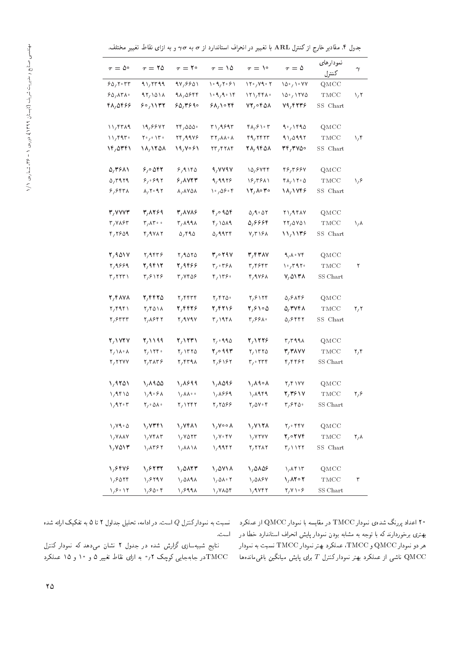جدول ۴. مقادیر خارج ازکنترل ARL با تغییر در انحراف استاندارد از  $\sigma$  به  $\sigma$ و به ازای نقاط تغییر مختلف.

| $\tau = \Delta^{\circ}$        | $\tau = 50$                                  | $\tau = 1^{\circ}$                                                                | $\tau = \Delta \Delta$                                      | $\tau = \Delta^{\circ}$                                    | $\tau=\Delta$                                                             | نمودارهاى<br>كنترل           | $\gamma$                |
|--------------------------------|----------------------------------------------|-----------------------------------------------------------------------------------|-------------------------------------------------------------|------------------------------------------------------------|---------------------------------------------------------------------------|------------------------------|-------------------------|
| 90, 7.77                       | 11,7711                                      | 98,8801                                                                           | 1.9, 7.9                                                    | $\sqrt{10}/\sqrt{10}$                                      | $\sqrt{\Delta}$ , $\sqrt{\sqrt{V}}$                                       | QMCC                         |                         |
| 90, 171                        | 17/101A                                      | 90,0999                                                                           | 1.9, 9.19                                                   | $\mathcal{N} \setminus \mathcal{N}$                        | 10.7178                                                                   | $\mathop{\rm TMCC}\nolimits$ | $\sqrt{7}$              |
| 48,0466                        | 90,1177                                      | 60, 390                                                                           | ۶۸٬۱۰۲۴                                                     | 72,0408                                                    | 79,4445                                                                   | SS Chart                     |                         |
| 11, 551                        | 19,8842                                      | $\mathbf{Y} \mathbf{F}$ , $\mathbf{\Delta} \mathbf{\Delta} \mathbf{\Delta} \cdot$ | $r_1$ , 191 $r$                                             | ۴۸٫۶۱۰۳                                                    | 1.140                                                                     | QMCC                         |                         |
| 11797                          | $Y^{\circ}$ / $Y^{\circ}$                    | 74,9948                                                                           | $\mathsf{r}\mathsf{r}_1\mathsf{A}\mathsf{A}\cdot\mathsf{A}$ | 49,7877                                                    | 91,0997                                                                   | TMCC                         | 1/f                     |
| ۱۴٫۵۳۴۱                        | 18,1208                                      | 19,7081                                                                           | $\mathsf{r}\mathsf{r}_\ell\mathsf{r}\mathsf{r}\mathsf{r}$   | 71,9401                                                    | 74,٣٧٥٠                                                                   | SS Chart                     |                         |
| ۵٫۳۶۸۱                         | 5,0057                                       | 9,9180                                                                            | 4,444                                                       | 10,8444                                                    | 48,3884                                                                   | QMCC                         |                         |
| 0,7979                         | 8,0297                                       | 5,0017                                                                            | 9,9979                                                      | 18,5811                                                    | $\mathsf{f}\,\mathsf{\Lambda}/\,\mathsf{f}\mathsf{f}\cdot\mathsf{\Delta}$ | TMCC                         | $\lambda/\ell$          |
| 8,8                            | $\lambda, \gamma \cdot 9.7$                  | $\lambda$ , $\lambda$ YQ $\lambda$                                                | $\frac{10}{4}$ $0$ $9$ $\circ$ $9$                          | $\mathcal{M}_{\mathcal{A}}$ or $\mathcal{M}_{\mathcal{A}}$ | 18,1448                                                                   | SS Chart                     |                         |
| ۳٫۷۷۷۳                         | 3,8289                                       | ۳٫۸۷۸۶                                                                            | ۹۵۴ ۱٫۰                                                     | 0, 1.07                                                    | $Y \setminus AY \land V$                                                  | QMCC                         |                         |
| $r, v \wedge r$                | $\mathsf{r}_1\mathsf{\Lambda}\mathsf{r}_2$ . | $\mathsf{r},\mathsf{A}\mathsf{A}\mathsf{A}$                                       | r/1019                                                      | ۵٬۶۶۶۴                                                     | $\mathcal{M} \setminus \mathcal{N}$                                       | TMCC                         | ۱٫۸                     |
| Y, Y509                        | $r, qv\wedge r$                              | 0,990                                                                             | 0,9977                                                      | $V/T$ $Y$                                                  | 11/1179                                                                   | SS Chart                     |                         |
| ۲٫۹۵۱۷                         | Y, 9559                                      | Y/9010                                                                            | 300797                                                      | 3,4787                                                     | 9,0.08                                                                    | QMCC                         |                         |
| 1,9889                         | 2,9412                                       | 2,9466                                                                            | r, r                                                        | $r, r$ ۶۴۳                                                 | $\cdot$ , ۳۹۲.                                                            | TMCC                         | ٢                       |
| $\mathbf{r}, \mathbf{r}$       | ۳٫۶۱۲۶                                       | $r, v$ ros                                                                        | ۴٬۱۳۶۰                                                      | 4,9461                                                     | ۷٫۵۱۳۸                                                                    | SS Chart                     |                         |
| ٢,۴٨٧٨                         | ۲٫۴۴۲۵                                       | ۲٫۴۴۳۴                                                                            | Y, YY0                                                      | Y, 8                                                       | ۵٫۶۸۴۶                                                                    | QMCC                         |                         |
| Y/F1F1                         | $\mathbf{Y},\mathbf{Y}$ $\Delta$ $\Lambda$   | 2,4425                                                                            | 2/12/16                                                     | ۲٫۶۱۰۵                                                     | ۵٫۳۷۴۸                                                                    | $\mathop{\rm TMCC}\nolimits$ | $\mathbf{Y}^{\prime}$ ۲ |
| ۲٫۶۳۳۳                         | ۲٫۸۶۴۲                                       | Y, 9 Y 9 Y                                                                        | $\mathsf{r}_1$ 19 $\mathsf{r}_A$                            | ۴٫۶۶۸۰                                                     | ۵٬۶۴۴۲                                                                    | SS Chart                     |                         |
| 2,1727                         | 2,1199                                       | 2/1221                                                                            | $Y_1 \circ 990$                                             | 2,1228                                                     | $r_r$ $r$ $49\lambda$                                                     | QMCC                         |                         |
| $\gamma/\lambda \cdot \lambda$ | Y/1YY                                        | Y/1770                                                                            | ۲٫۰۹۹۳                                                      | Y/1770                                                     | ۳٫۳۸۷۷                                                                    | TMCC                         | ۲٫۴                     |
| Y, YYYY                        | $Y, Y \wedge Y$                              | ۲, ۴۳۹۸                                                                           | Y, 818Y                                                     | $r, \cdot r$ rr                                            | ۴٫۴۴۶۲                                                                    | $SS$ Chart                   |                         |
| ۱٫۹۲۵۱                         | ۱٬۸۹۵۵                                       | 1,849                                                                             | 1,8098                                                      | ۱٫۸۹∘۸                                                     | Y,Y                                                                       | QMCC                         |                         |
| 1,9510                         | 1, 9.91                                      | ∘ ۸۸۰ /                                                                           | 1,8899                                                      | ۱٬۸۹۴۹                                                     | 2/28/18                                                                   | TMCC                         | $\mathbf{y}/\mathbf{y}$ |
| 1/910                          | $Y/\circ \Delta\Lambda \circ$                | Y/1797                                                                            | 7,7088                                                      | $Y/\Delta V \cdot Y$                                       | ۴٫۶۴۵۰                                                                    | SS Chart                     |                         |
| 1, 11.0                        | 1,7341                                       | 1,7481                                                                            | ۱٫۷∘∘۸                                                      | 1,7178                                                     | $\mathbf{Y}_1 \circ \mathbf{Y} \mathbf{Y}$                                | QMCC                         |                         |
| $\lambda$ /YAAY                | $\gamma$ $YfAT$                              | $\sqrt{V}$                                                                        | $V, V \cdot Y$                                              | $\gamma$ v r v v                                           | ۲٫۰ ۲۷۴                                                                   | TMCC                         | ۲٫۸                     |
| ۱٫۷۵۱۳                         | 1, 1587                                      | 1/11/11                                                                           | 1/9997                                                      | Y, YYAY                                                    | $\mathsf{r}_1$ \ \ \ \ \                                                  | SS Chart                     |                         |
| 1,8448                         | 1,8777                                       | 1,0127                                                                            | 1,0711                                                      | 1,0108                                                     | 1/Af1                                                                     | QMCC                         |                         |
| 1,9019                         | 1,8797                                       | 1,0191                                                                            | $\lambda$ , $\Delta \lambda \cdot \tau$                     | 1,0187                                                     | 1,8202                                                                    | $\mathop{\rm TMCC}\nolimits$ | ٣                       |
| 1/8.17                         | 1/80.8                                       | 1,8998                                                                            | 1,7104                                                      | ۱٬۹۷۴۲                                                     | $\mathbf{Y},\mathbf{Y}\setminus\mathcal{S}$                               | SS Chart                     |                         |

نتایج شبیهسازی گزارش شده در جدول ۲ نشان میدهد که نمودار کنترل در جابهجایی کوچک ۰٫۲ به ازای نقاط تغییر ۵ و ۱۰ و ۱۵ عملکرد $\mathrm{TMCC}$ 

۲۰ اعداد پررنگ شدهی نمودار TMCC در مقایسه با نمودار QMCC از عملکرد تسببت به نمودارکنترل Q است. در ادامه، تحلیل جداول ۲ تا ۵ به تفکیک ارائه شده<br>مسیحی است که است که است که است و مقایسات است است که است که است است و مودارکنتر بهتری برخوردارند که با توجه به مشابه بودن نمودار پایش انحراف استاندارد خطا در ۱۰ است.<br>مساحده میسایا macod و macod این مساحده با macod  $\alpha$ و TMCC و TMCC و TMCC مر دو نمودار TMCC 'سبت به نمودار ناشی از عملکرد بهتر نمودار کنترل  $T$  برای پایش میانگین باقی $\rm QMCC$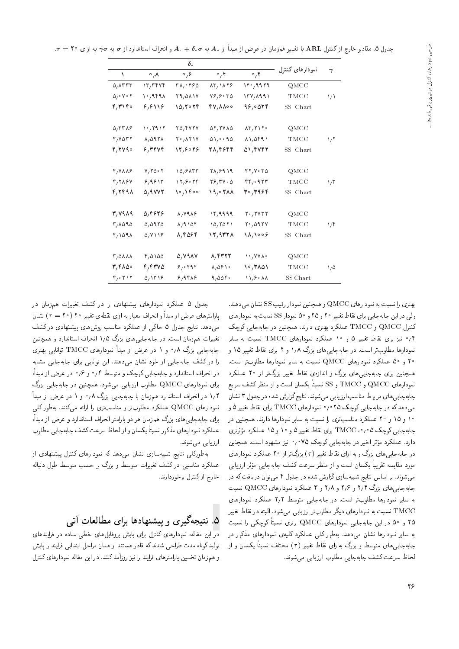. $\tau=$  30 مقادیر خارج از کنترل ARL با تغییر همزمان در عرض از مبدأ از  $A$  به  $\sigma$ 6 +  $A$  و انحراف استاندارد از  $\sigma$  به  $\gamma\sigma$  به ازای  $\tau= \tau$ .

|                              | $\delta$ .                 |                                    |                                   |                                                 |                    |            |
|------------------------------|----------------------------|------------------------------------|-----------------------------------|-------------------------------------------------|--------------------|------------|
| ١                            | $\circ$ , $\wedge$         | $\circ$ , $\epsilon$               | $\circ$ , $\circ$                 | $\circ$ , $\mathbf{r}$                          | نمودارهای کنترل    | $\gamma$   |
| $\Delta$ , $\Lambda$ ۳۳۳     | $\mathcal{N}, \mathcal{N}$ | $r_{\Lambda}$ , $r_{\Lambda}$      | $\lambda \Gamma / \lambda \Gamma$ | 19.4979                                         | QMCC               |            |
| 0,0,0,1                      | $\cdot$ , 949 $\Lambda$    | $Y_1,0 \wedge V$                   | ۲۶٬۶۰۳۵                           | 174, 1911                                       | TMCC               | い          |
| ۴٫۳۱۴۰                       | ۶٬۶۱۱۶                     | 10,7079                            | ۰۰۸۸/۴۷                           | 95,0078                                         | SS Chart           |            |
|                              |                            |                                    |                                   |                                                 |                    |            |
| 0,7719                       | ۱۰٬۲۹۱۲                    | 70, 47 TV                          | $\Delta Y, YV\Lambda\Delta$       | $\lambda \Gamma, \Upsilon \setminus \Upsilon$ . | QMCC               |            |
| $Y, V \cap Y$                | A, O97A                    | $Y \cdot A Y Y$                    | 01,0.90                           | $\lambda \lambda$ , $\Delta$ ۴۹ $\lambda$       | TMCC               | $\sqrt{7}$ |
| 4,2790                       | ۶٬۳۴۷۴                     | 12,5045                            | 28,4544                           | ۵۱٬۴۷۴۲                                         | SS Chart           |            |
|                              |                            |                                    |                                   |                                                 |                    |            |
| $Y, Y \wedge \wedge \varphi$ | $V, Y \Delta \cdot Y$      | $10,9$ ATT                         | 71,8919                           | YY, Y, Y                                        | $_{\mathrm{QMCC}}$ |            |
| $Y, Y \wedge Y$              | 8,9811                     | 17,9.79                            | $Y^{\rho}, Y^{\rho} \circ \Delta$ | rr, 9.77                                        | TMCC               | ۱٬۳        |
| 4,2498                       | $\Delta$ , 9888            | $\frac{1}{2}$                      | 19,0788                           | ۳۰٬۳۹۶۴                                         | SS Chart           |            |
| 3,7989                       | 5,4646                     | $\lambda, \nu$ 9 $\lambda$ ۶       | ٬۴٫۹۹۹۹                           | $Y \cdot YYYY$                                  | $_{\mathrm{QMCC}}$ |            |
| 7,1090                       | 0,0970                     | $\lambda$ , 9 $\lambda$ $\Delta$ ۴ | 10,7071                           | $Y \cdot \Omega$ 974                            | TMCC               | ۱٬۴        |
| Y/1091                       | $0, V \setminus S$         | 8,4564                             | 12,9328                           | $\Lambda/\Lambda \circ \circ \varphi$           | SS Chart           |            |
|                              |                            |                                    |                                   |                                                 |                    |            |
| <b>T/0111</b>                | 4,0100                     | $\Delta$ , $V$ 9 $\Lambda$ $V$     | 8,4422                            | <b>\</b> • \ \ \ \ \ •                          | QMCC               |            |
| 7,۴۸۵۰                       | 4,4475                     | 8,0098                             | $\lambda$ , $\Delta$ ۶ \ $\cdot$  | ۱۰٬۳۸۵۱                                         | TMCC               | ۱,۵        |
| $r, \cdot r \wedge r$        | 0/1719                     | 8,988                              | 9,005                             | 11,9011                                         | SS Chart           |            |

بهتري را نسبت به نمودارهاي QMCC و همچنين نمودار رقيب SS نشان مى دهند. ولی دراین جابهجایی برای نقاط تغییر ۲۰ و ۲۵ و ۵۰ نمودار SS نسبت به نمودارهای کنترل QMCC و TMCC عملکرد بهتری دارند. همچنین در جابهجایی کوچک و نیز برای نقاط تغییر ۵ و ۱۰ عملکرد نمودارهای TMCC نسبت به سایر  $^{\circ}$ نمودارها مطلوبتر است. در جابه جایی های بزرگ ۱٫۸ و ۲ برای نقاط تغییر ۱۵ و ۲۰ و ۵۰ عملکرد نمودارهای QMCC نسبت به سایر نمودارها مطلوبتر است. همچنین برای جابهجایی های بزرگ و اندازهی نقاط تغییر بزرگتر از ۲۰ عملکرد نمودارهای QMCC و SS و SSS تسبتاً یکسان است و از منظرکشف سریع<br>پاسپانستان میلیوند و پاسپانستان میشود و استفاده بودند و میلیوند و سوریا جابهجايي هاي مربوط مناسب ارزيابي مى شوند. نتايج گزارش شده در جدول ٣ نشان میدهد که در جابهجایی کوچک ۲۵ °٫۰ نمودارهای TMCC برای نقاط تغییر ۵ و ۱۰ و ۱۵ و ۲۰ عملکرد مناسب تری را نسبت به سایر نمودارها دارند. همچنین در جابهجایی کوچک ۵۰٫۵، TMCC برای نقاط تغییر ۵ و ۱۰ و ۱۵ عملکرد مؤثرتری<br>با - دارد. عملکرد مؤثر اخیر در جابهجایی کوچک ۷۵ °٬۶ نیز مشهود است. همچنین<br>با سامان گفت: است است استان در کوچک و با سود کار میدان .<br>. در جابهجایی های بزرگ و به ازای نقاط تغییر ( 7 ) بزرگ تر از ۲۰ عملکرد نمودارهای<br>تاریخ اسلامی است آن کردار است مورد مقایسه تقریباً یکسان است و از منظر سرعت کشف جابهجایی مؤثر ارزیابی<br>محمد مقایسه - میشوند. براساس نتایج شبیهسازی گزارش شده در جدول ۴ میتوان دریافت که در<br>پاسپانسان مستقر توسط میتوان و سوم ایج میتوانسان OatoG  $\text{QMCC}$  جابهجایی های بزرگ ۲٫۴ و ۲٫۸ و ۲٫۸ و ۳ عملکرد نمودارهای QMCC نسبت به سایر نمودارها مطلوب تر است. در جابهجایی متوسط ٢٫٢ عملکرد نمودارهای نسبت به نمودارهای دیگر مطلوبتر ارزیابی می شود. البته در نقاط تغییر  $\mathrm{TMCC}$ ۲۵ و ۵۰ در این جابهجایی نمودارهای QMCC برتری نسبتاً کوچکی را نسبت<br>ارمند اسلامات به سایر نمودارها نشان میدهد. بهطور کل<sub>وی</sub> عملکرد کلیهی نمودارهای مذکور در جابهجاییهای متوسط و بزرگ بهازای نقاط تغییر ( 7) مختلف نسبتا یکسان و از<br>اما نام لحاظ سرعت كشف جابهجايي مطلوب ارزيابي مى شوند.

جدول ۵ عملکرد نمودارهای پیشنهادی را در کشف تغییرات همزمان در پارامترهای عرض از مبدأ و انحراف معیار به ازای نقطهی تغییر ۲۰ ( ۲۰ =  $\tau$  ) نشان می،دهد. نتایج جدول ۵ حاکمی از عملکرد مناسب روشهای پیشنهادی در کشف تغییرات همزمان است. در جابهجایی های بزرگ ۱٫۵ انحراف استاندارد و همچنین جابهجایی بزرگ ۰/۵ و ۱ در عرض از مبدا نمودارهای TMCC توانایی بهتری<br>است کفت را در کشف جابهجایی از خود نشان می دهند. این توانایی برای جابهجایی مشابه درآنحراف استاندارد و جابهجایی کوچک و متوسط ۰٫۴ و ۰٫۶ در عرض از مبدا،<br>بایروستار با مکمه هستار با ایران برای نمودارهای QMCC مطلوب ارزیابی میشود. همچنین در جابهجایی بزرگ ۰/۲ در انحراف استاندارد همزمان با جابهجایی بزرگ ۰/۸ و ۱ در عرض از مبدأ نمودارهای QMCC عملکرد مطلوبتر و مناسبتری را ارائه میکنند. بهطور کلبی برای جابهجایی های بزرگ همزمان هر دو پارامتر انحراف استاندارد و عرض از مبدا،<br>سایم میساسد استان کوه از کوه استان استان عملکرد نمودارهای مذکور نسبتا یکسان و از لحاظ سرعت کشف جابهجایی مطلوب<br>اسطول ارزيابي مي شوند.

به طورکلی نتایج شبیه سازی نشان می دهد که نمودارهای کنترل پیشنهادی از عملکرد مناسبی در کشف تغییرات متوسط و بزرگ بر حسب متوسط طول دنباله .<br>خارج از کنترل برخوردارند.

## ۰. نتیجهگیری و پیشنهادها برای مطالعات آتی

<mark>در</mark> این مقاله، نمودارهای کنترل برای پایش پروفایلهای خطی ساده در فرایندهای تولید کوتاه مدت طراحی شدند که قادر هستند از همان مراحل ابتدایی فرایند را پایش و هم زمان تخمین پارلمترهای فرایند را نیز روزآمد کنند. در این مقاله نمودارهای کنترل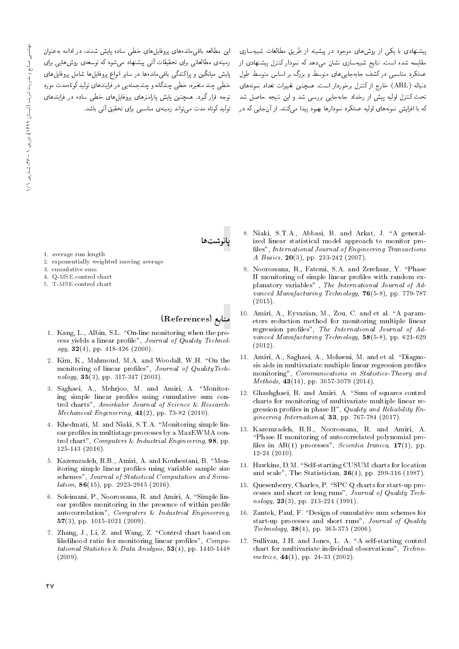این مطالعه باقی ماندههای یروفایلهای خطی ساده پایش شدند، در ادامه بهعنوان زمینهی مطالعاتی برای تحقیقات آتی پیشنهاد می شود که توسعهی روش هایی برای <sub>ب</sub>ایش میانگین و پراکندگی باقی.ماندهها در سایر انواع پروفایلها شامل پروفایلهای خطی چند متغیره، خطی چندگانه و چندجمله یی در فرایندهای تولید کوتاهمدت مورد توجه قرار گیرد. همچنین پایش پارامترهای پروفایلهای خطی ساده در فرایندهای تولید کوتاه مدت مے تواند زمینهی مناسبے ایرای تحقیق آتی باشد.

پیشنهادی با یکی از روش های موجود در پیشینه از طریق مطالعات شبیهسازی مقایسه شده است. نتایج شبیهسازی نشان می،دهد که نمودار کنترل پیشنهادی از عملکرد مناسبی درکشف جابهجاییهای متوسط و بزرگ بر اساس متوسط طول دنباله (ARL) خارج از کنترل برخوردار است. همچنین تغییرات تعداد نمونههای تحت کنترل اولیه پیش از رخداد جابهجایی بررسی شد و این نتیجه حاصل شد که با افزایش نمونههای اولیه عملکرد نمودارها بهبود بیدا مے کنند. از آن جائے که در

- 
- 1. average run length 2. exponentially weighted moving average
- 3. cumulative sum
- 4. Q-MSE control chart
- 5. T-MSE control chart
- 

# $(References)$  منابع

بانوشتها

- 1. Kang, L., Albin, S.L. "On-line monitoring when the process yields a linear profile", Journal of Quality Technology,  $32(4)$ , pp. 418-426 (2000).
- 2. Kim, K., Mahmoud, M.A. and Woodall, W.H. "On the monitoring of linear profiles", Journal of QualityTechnology, 35(3), pp. 317-347 (2003).
- 3. Saghaei, A., Mehrjoo, M. and Amiri, A. "Monitoring simple linear profiles using cumulative sum control charts", Amirkabir Journal of Science & Research-*Mechanical Engineering*,  $41(2)$ , pp. 73-82 (2010).
- 4. Khedmati, M. and Niaki, S.T.A. "Monitoring simple linear profiles in multistage processes by a MaxEWMA control chart", Computers & Industrial Engineering, 98, pp. 125-143 (2016).
- 5. Kazemzadeh, R.B., Amiri, A. and Kouhestani, B. "Monitoring simple linear profiles using variable sample size schemes", Journal of Statistical Computation and Simu $lation, 86(15), pp. 2923-2945 (2016).$
- 6. Soleimani, P., Noorossana, R. and Amiri, A. "Simple linear profiles monitoring in the presence of within profile autocorrelation", Computers & Industrial Engineering, 57(3), pp. 1015-1021 (2009).
- 7. Zhang, J., Li, Z. and Wang, Z. "Control chart based on likelihood ratio for monitoring linear profiles",  $Compu$ tational Statistics & Data Analysis,  $53(4)$ , pp. 1440-1448  $(2009)$ .
- 8. Niaki, S.T.A., Abbasi, B. and Arkat, J. "A generalized linear statistical model approach to monitor pro files", International Journal of Engineering Transactions A Basics,  $20(3)$ , pp. 233-242 (2007).
- 9. Noorossana, R., Fatemi, S.A. and Zerehsaz, Y. \Phase II monitoring of simple linear profiles with random explanatory variables" , The International Journal of Advanced Manufacturing Technology, 76(5-8), pp. 779-787  $(2015)$ .
- 10. Amiri, A., Eyvazian, M., Zou, C. and et al. \A parameters reduction method for monitoring multiple linear regression profiles", The International Journal of Advanced Manufacturing Technology, 58(5-8), pp. 621-629 (2012).
- 11. Amiri, A., Saghaei, A., Mohseni, M. and et al. \Diagnosis aids in multivariate multiple linear regression profiles monitoring", Communications in Statistics-Theory and  $Methods, 43(14), pp. 3057-3079 (2014).$
- 12. Ghashghaei, R. and Amiri. A. "Sum of squares control charts for monitoring of multivariate multiple linear regression profiles in phase II", Quality and Reliability  $En$ gineering International, 33, pp. 767-784 (2017).
- 13. Kazemzadeh, R.B., Noorossana, R. and Amiri, A. \Phase II monitoring of autocorrelated polynomial pro files in  $AR(1)$  processes", Scientia Iranica, 17(1), pp. 12-24 (2010).
- 14. Hawkins, D.M. "Self-starting CUSUM charts for location and scale", The Statistician, 36(4), pp. 299-316 (1987).
- 15. Quesenberry, Charles, P. "SPC Q charts for start-up processes and short or long runs", Journal of Quality Technology,  $23(3)$ , pp. 213-224 (1991).
- 16. Zantek, Paul, F. "Design of cumulative sum schemes for start-up processes and short runs", Journal of Quality  $Technology, 38(4), pp. 365-375 (2006).$
- 17. Sullivan, J.H. and Jones, L. A. "A self-starting control chart for multivariate individual observations", Technometrics,  $44(1)$ , pp. 24-33 (2002).